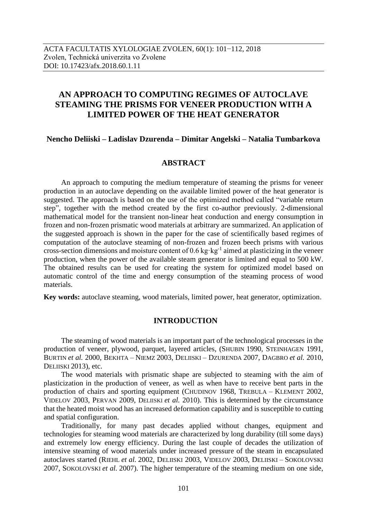# **AN APPROACH TO COMPUTING REGIMES OF AUTOCLAVE STEAMING THE PRISMS FOR VENEER PRODUCTION WITH A LIMITED POWER OF THE HEAT GENERATOR**

# **Nencho Deliiski – Ladislav Dzurenda – Dimitar Angelski – Natalia Tumbarkova**

# **ABSTRACT**

An approach to computing the medium temperature of steaming the prisms for veneer production in an autoclave depending on the available limited power of the heat generator is suggested. The approach is based on the use of the optimized method called "variable return step", together with the method created by the first co-author previously. 2-dimensional mathematical model for the transient non-linear heat conduction and energy consumption in frozen and non-frozen prismatic wood materials at arbitrary are summarized. An application of the suggested approach is shown in the paper for the case of scientifically based regimes of computation of the autoclave steaming of non-frozen and frozen beech prisms with various cross-section dimensions and moisture content of 0.6 kg·kg<sup>-1</sup> aimed at plasticizing in the veneer production, when the power of the available steam generator is limited and equal to 500 kW. The obtained results can be used for creating the system for optimized model based on automatic control of the time and energy consumption of the steaming process of wood materials.

**Key words:** autoclave steaming, wood materials, limited power, heat generator, optimization.

# **INTRODUCTION**

The steaming of wood materials is an important part of the technological processes in the production of veneer, plywood, parquet, layered articles, (SHUBIN 1990, STEINHAGEN 1991, BURTIN *et al.* 2000, BEKHTA – NIEMZ 2003, DELIISKI – DZURENDA 2007, DAGBRO *et al.* 2010, DELIISKI 2013), etc.

The wood materials with prismatic shape are subjected to steaming with the aim of plasticization in the production of veneer, as well as when have to receive bent parts in the production of chairs and sporting equipment (CHUDINOV 1968, TREBULA – KLEMENT 2002, VIDELOV 2003, PERVAN 2009, DELIISKI *et al.* 2010). This is determined by the circumstance that the heated moist wood has an increased deformation capability and is susceptible to cutting and spatial configuration.

Traditionally, for many past decades applied without changes, equipment and technologies for steaming wood materials are characterized by long durability (till some days) and extremely low energy efficiency. During the last couple of decades the utilization of intensive steaming of wood materials under increased pressure of the steam in encapsulated autoclaves started (RIEHL *et al.* 2002, DELIISKI 2003, VIDELOV 2003, DELIISKI – SOKOLOVSKI 2007, SOKOLOVSKI *et al.* 2007). The higher temperature of the steaming medium on one side,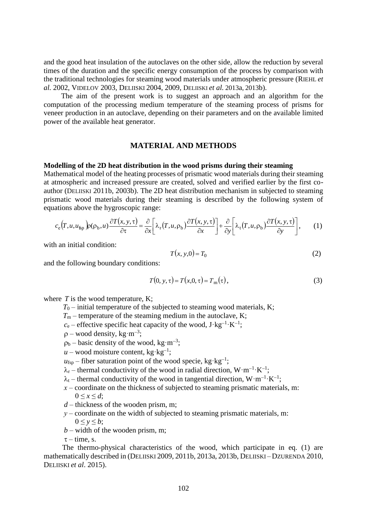and the good heat insulation of the autoclaves on the other side, allow the reduction by several times of the duration and the specific energy consumption of the process by comparison with the traditional technologies for steaming wood materials under atmospheric pressure (RIEHL *et al.* 2002, VIDELOV 2003, DELIISKI 2004, 2009, DELIISKI *et al.* 2013a, 2013b).

The aim of the present work is to suggest an approach and an algorithm for the computation of the processing medium temperature of the steaming process of prisms for veneer production in an autoclave, depending on their parameters and on the available limited power of the available heat generator.

#### **MATERIAL AND METHODS**

#### **Modelling of the 2D heat distribution in the wood prisms during their steaming**

Mathematical model of the heating processes of prismatic wood materials during their steaming at atmospheric and increased pressure are created, solved and verified earlier by the first coauthor (DELIISKI 2011b, 2003b). The 2D heat distribution mechanism in subjected to steaming prismatic wood materials during their steaming is described by the following system of equations above the hygroscopic range:

$$
c_{\rm e}\left(T, u, u_{\rm fp}\right) \rho(\rho_{\rm b}, u) \frac{\partial T(x, y, \tau)}{\partial \tau} = \frac{\partial}{\partial x} \bigg[\lambda_{\rm r}\left(T, u, \rho_{\rm b}\right) \frac{\partial T(x, y, \tau)}{\partial x}\bigg] + \frac{\partial}{\partial y} \bigg[\lambda_{\rm t}\left(T, u, \rho_{\rm b}\right) \frac{\partial T(x, y, \tau)}{\partial y}\bigg],\qquad(1)
$$

with an initial condition:

$$
T(x, y, 0) = T_0 \tag{2}
$$

and the following boundary conditions:

$$
T(0, y, \tau) = T(x, 0, \tau) = Tm(\tau),
$$
\n(3)

where *T* is the wood temperature, K;

- $T_0$  initial temperature of the subjected to steaming wood materials, K;
- $T_m$  temperature of the steaming medium in the autoclave, K;
- $c_e$  effective specific heat capacity of the wood,  $J \cdot kg^{-1} \cdot K^{-1}$ ;
- $p$  wood density, kg·m<sup>-3</sup>;
- $p_b$  basic density of the wood, kg·m<sup>-3</sup>;
- $u$  wood moisture content, kg·kg<sup>-1</sup>;
- $u_{\text{fsp}}$  fiber saturation point of the wood specie, kg·kg<sup>-1</sup>;
- $\lambda_r$  thermal conductivity of the wood in radial direction,  $W \cdot m^{-1} \cdot K^{-1}$ ;
- $\lambda_t$  thermal conductivity of the wood in tangential direction,  $W \cdot m^{-1} \cdot K^{-1}$ ;
	- $x$  coordinate on the thickness of subjected to steaming prismatic materials, m:  $0 \leq x \leq d$ ;
	- *d* thickness of the wooden prism, m;
	- $y$  coordinate on the width of subjected to steaming prismatic materials, m:  $0 \le y \le b$ ;
	- $b$  width of the wooden prism, m;
	- $\tau$  time, s.

The thermo-physical characteristics of the wood, which participate in eq. (1) are mathematically described in (DELIISKI 2009, 2011b, 2013a, 2013b, DELIISKI – DZURENDA 2010, DELIISKI *et al*. 2015).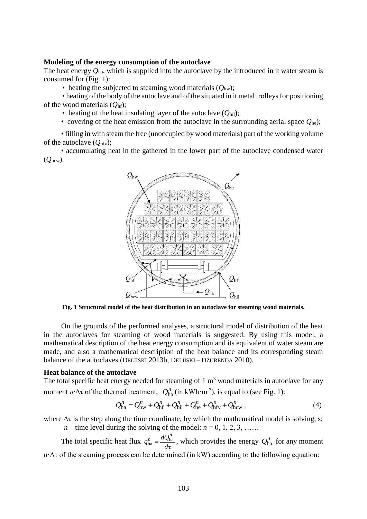#### **Modeling of the energy consumption of the autoclave**

The heat energy *Q*ha, which is supplied into the autoclave by the introduced in it water steam is consumed for (Fig. 1):

• heating the subjected to steaming wood materials  $(O_{\text{hw}})$ ;

• heating of the body of the autoclave and of the situated in it metal trolleys for positioning of the wood materials (*Q*hf);

• heating of the heat insulating layer of the autoclave  $(O<sub>hil</sub>)$ ;

• covering of the heat emission from the autoclave in the surrounding aerial space  $Q_{he}$ );

• filling in with steam the free (unoccupied by wood materials) part of the working volume of the autoclave (*Q*hfv);

• accumulating heat in the gathered in the lower part of the autoclave condensed water (*Q*hcw).



**Fig. 1 Structural model of the heat distribution in an autoclave for steaming wood materials.**

On the grounds of the performed analyses, a structural model of distribution of the heat in the autoclaves for steaming of wood materials is suggested. By using this model, a mathematical description of the heat energy consumption and its equivalent of water steam are made, and also a mathematical description of the heat balance and its corresponding steam balance of the autoclaves (DELIISKI 2013b, DELIISKI – DZURENDA 2010).

#### **Heat balance of the autoclave**

The total specific heat energy needed for steaming of  $1 \text{ m}^3$  wood materials in autoclave for any moment *n*  $\Delta \tau$  of the thermal treatment,  $Q_{ha}^n$  (in kWh·m<sup>-3</sup>), is equal to (see Fig. 1):

$$
Q_{\text{ha}}^n = Q_{\text{hw}}^n + Q_{\text{hf}}^n + Q_{\text{hil}}^n + Q_{\text{he}}^n + Q_{\text{hfv}}^n + Q_{\text{hcw}}^n, \tag{4}
$$

where  $\Delta \tau$  is the step along the time coordinate, by which the mathematical model is solving, s; *n* – time level during the solving of the model:  $n = 0, 1, 2, 3, \ldots$ 

The total specific heat flux  $\tau$  $=$ *d*  $q_{\text{ha}}^n = \frac{dQ}{dx}$  $\mu_{\text{ha}}^n = \frac{dQ_{\text{ha}}^n}{d\tau}$ , which provides the energy  $Q_{\text{ha}}^n$  for any moment  $n \Delta \tau$  of the steaming process can be determined (in kW) according to the following equation: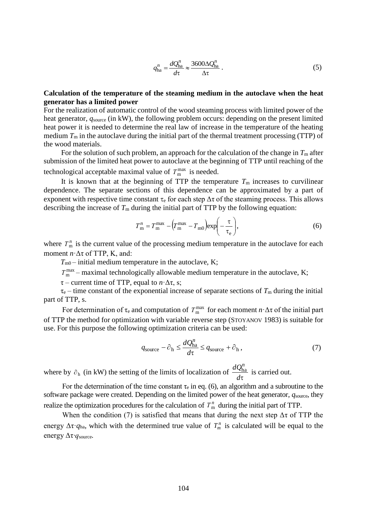$$
q_{\text{ha}}^n = \frac{dQ_{\text{ha}}^n}{d\tau} \approx \frac{3600\Delta Q_{\text{ha}}^n}{\Delta \tau} \,. \tag{5}
$$

# **Calculation of the temperature of the steaming medium in the autoclave when the heat generator has a limited power**

For the realization of automatic control of the wood steaming process with limited power of the heat generator,  $q_{source}$  (in kW), the following problem occurs: depending on the present limited heat power it is needed to determine the real law of increase in the temperature of the heating medium  $T<sub>m</sub>$  in the autoclave during the initial part of the thermal treatment processing (TTP) of the wood materials.

For the solution of such problem, an approach for the calculation of the change in  $T<sub>m</sub>$  after submission of the limited heat power to autoclave at the beginning of TTP until reaching of the technological acceptable maximal value of  $T_{\text{m}}^{\text{max}}$  is needed.

It is known that at the beginning of TTP the temperature  $T<sub>m</sub>$  increases to curvilinear dependence. The separate sections of this dependence can be approximated by a part of exponent with respective time constant  $\tau_e$  for each step  $\Delta \tau$  of the steaming process. This allows describing the increase of  $T_m$  during the initial part of TTP by the following equation:

$$
T_{\rm m}^{n} = T_{\rm m}^{\rm max} - \left(T_{\rm m}^{\rm max} - T_{\rm m0}\right) \exp\left(-\frac{\tau}{\tau_{\rm e}}\right),\tag{6}
$$

where  $T_{\text{m}}^{n}$  is the current value of the processing medium temperature in the autoclave for each moment *n*·Δτ of TTP, K, and:

 $T_{\text{m0}}$  – initial medium temperature in the autoclave, K;

 $T_{\rm m}^{\rm max}$  – maximal technologically allowable medium temperature in the autoclave, K;

 $\tau$  – current time of TTP, equal to  $n \Delta \tau$ , s;

 $\tau_e$  – time constant of the exponential increase of separate sections of  $T_m$  during the initial part of TTP, s.

For determination of  $\tau_e$  and computation of  $T_{\text{m}}^{\text{max}}$  for each moment  $n \cdot \Delta \tau$  of the initial part of TTP the method for optimization with variable reverse step (STOYANOV 1983) is suitable for use. For this purpose the following optimization criteria can be used:

$$
q_{\text{source}} - \partial_{\text{h}} \le \frac{dQ_{\text{ha}}^n}{d\tau} \le q_{\text{source}} + \partial_{\text{h}}\,,\tag{7}
$$

where by  $\partial_h$  (in kW) the setting of the limits of localization of  $d\tau$  $\frac{dQ_{\text{ha}}^n}{dt}$  is carried out.

For the determination of the time constant  $\tau_e$  in eq. (6), an algorithm and a subroutine to the software package were created. Depending on the limited power of the heat generator,  $q_{\text{source}}$ , they realize the optimization procedures for the calculation of  $T_{\text{m}}^n$  during the initial part of TTP.

When the condition (7) is satisfied that means that during the next step  $\Delta \tau$  of TTP the energy  $\Delta \tau$  *q*<sub>ha</sub>, which with the determined true value of  $T_m^n$  is calculated will be equal to the energy Δτ*·q*source*.*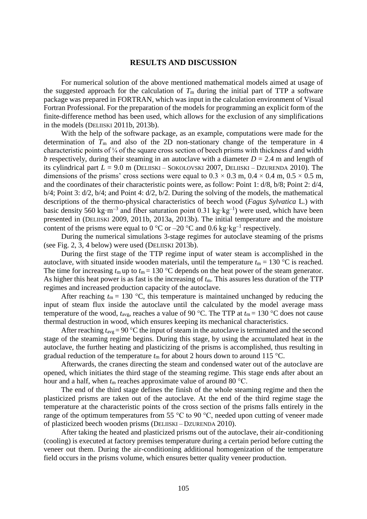#### **RESULTS AND DISCUSSION**

For numerical solution of the above mentioned mathematical models aimed at usage of the suggested approach for the calculation of  $T<sub>m</sub>$  during the initial part of TTP a software package was prepared in FORTRAN, which was input in the calculation environment of Visual Fortran Professional. For the preparation of the models for programming an explicit form of the finite-difference method has been used, which allows for the exclusion of any simplifications in the models (DELIISKI 2011b, 2013b).

With the help of the software package, as an example, computations were made for the determination of  $T<sub>m</sub>$  and also of the 2D non-stationary change of the temperature in 4 characteristic points of ¼ of the square cross section of beech prisms with thickness *d* and width *b* respectively, during their steaming in an autoclave with a diameter  $D = 2.4$  m and length of its cylindrical part  $L = 9.0$  m (DELIISKI – SOKOLOVSKI 2007, DELIISKI – DZURENDA 2010). The dimensions of the prisms' cross sections were equal to  $0.3 \times 0.3$  m,  $0.4 \times 0.4$  m,  $0.5 \times 0.5$  m, and the coordinates of their characteristic points were, as follow: Point 1: d/8, b/8; Point 2: d/4, b/4; Point 3: d/2, b/4; and Point 4: d/2, b/2. During the solving of the models, the mathematical descriptions of the thermo-physical characteristics of beech wood (*Fagus Sylvatica* L.) with basic density 560 kg·m<sup>-3</sup> and fiber saturation point 0.31 kg·kg<sup>-1</sup>) were used, which have been presented in (DELIISKI 2009, 2011b, 2013a, 2013b). The initial temperature and the moisture content of the prisms were equal to  $0^{\circ}$ C or  $-20^{\circ}$ C and  $0.6$  kg $\cdot$ kg<sup>-1</sup> respectively.

During the numerical simulations 3-stage regimes for autoclave steaming of the prisms (see Fig. 2, 3, 4 below) were used (DELIISKI 2013b).

During the first stage of the TTP regime input of water steam is accomplished in the autoclave, with situated inside wooden materials, until the temperature  $t_m = 130$  °C is reached. The time for increasing  $t_m$  up to  $t_m = 130$  °C depends on the heat power of the steam generator. As higher this heat power is as fast is the increasing of *t*m. This assures less duration of the TTP regimes and increased production capacity of the autoclave.

After reaching  $t_m = 130$  °C, this temperature is maintained unchanged by reducing the input of steam flux inside the autoclave until the calculated by the model average mass temperature of the wood,  $t_{\text{avg}}$ , reaches a value of 90 °C. The TTP at  $t_{\text{m}} = 130$  °C does not cause thermal destruction in wood, which ensures keeping its mechanical characteristics.

After reaching  $t_{\text{avg}} = 90 \degree C$  the input of steam in the autoclave is terminated and the second stage of the steaming regime begins. During this stage, by using the accumulated heat in the autoclave, the further heating and plasticizing of the prisms is accomplished, thus resulting in gradual reduction of the temperature  $t_m$  for about 2 hours down to around 115 °C.

Afterwards, the cranes directing the steam and condensed water out of the autoclave are opened, which initiates the third stage of the steaming regime. This stage ends after about an hour and a half, when  $t_m$  reaches approximate value of around 80 °C.

The end of the third stage defines the finish of the whole steaming regime and then the plasticized prisms are taken out of the autoclave. At the end of the third regime stage the temperature at the characteristic points of the cross section of the prisms falls entirely in the range of the optimum temperatures from 55 °С to 90 °С, needed upon cutting of veneer made of plasticized beech wooden prisms (DELIISKI – DZURENDA 2010).

After taking the heated and plasticized prisms out of the autoclave, their air-conditioning (cooling) is executed at factory premises temperature during a certain period before cutting the veneer out them. During the air-conditioning additional homogenization of the temperature field occurs in the prisms volume, which ensures better quality veneer production.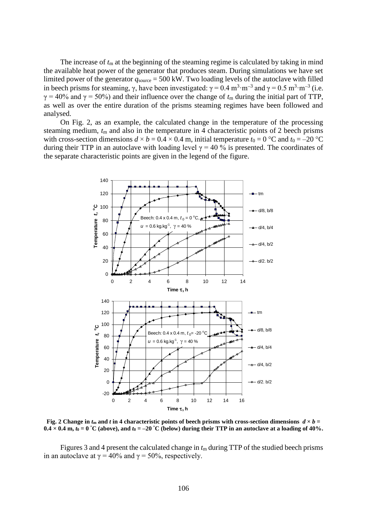The increase of  $t_m$  at the beginning of the steaming regime is calculated by taking in mind the available heat power of the generator that produces steam. During simulations we have set limited power of the generator  $q_{source} = 500$  kW. Two loading levels of the autoclave with filled in beech prisms for steaming,  $\gamma$ , have been investigated:  $\gamma = 0.4 \text{ m}^3 \cdot \text{m}^{-3}$  and  $\gamma = 0.5 \text{ m}^3 \cdot \text{m}^{-3}$  (i.e.  $\gamma = 40\%$  and  $\gamma = 50\%$ ) and their influence over the change of  $t<sub>m</sub>$  during the initial part of TTP, as well as over the entire duration of the prisms steaming regimes have been followed and analysed.

On Fig. 2, as an example, the calculated change in the temperature of the processing steaming medium, *t*<sup>m</sup> and also in the temperature in 4 characteristic points of 2 beech prisms with cross-section dimensions  $d \times b = 0.4 \times 0.4$  m, initial temperature  $t_0 = 0$  °C and  $t_0 = -20$  °C during their TTP in an autoclave with loading level  $\gamma = 40$  % is presented. The coordinates of the separate characteristic points are given in the legend of the figure.



**Fig. 2 Change in**  $t_m$  **and** *t* **in 4 characteristic points of beech prisms with cross-section dimensions**  $d \times b =$  $0.4 \times 0.4$  m,  $t_0 = 0$  °C (above), and  $t_0 = -20$  °C (below) during their TTP in an autoclave at a loading of 40%.

Figures 3 and 4 present the calculated change in  $t<sub>m</sub>$  during TTP of the studied beech prisms in an autoclave at  $\gamma = 40\%$  and  $\gamma = 50\%$ , respectively.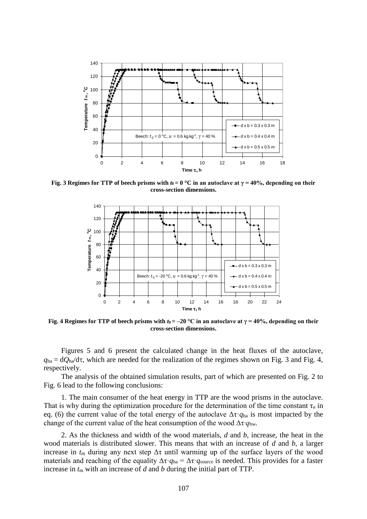

**Fig. 3 Regimes for TTP of beech prisms with**  $t_0 = 0$  **°C in an autoclave at**  $\gamma = 40\%$ **, depending on their cross-section dimensions.**



**Fig. 4 Regimes for TTP of beech prisms with**  $t_0 = -20$  **°C in an autoclave at**  $\gamma = 40\%$ **, depending on their cross-section dimensions.**

Figures 5 and 6 present the calculated change in the heat fluxes of the autoclave,  $q_{ha} = dQ_{ha}/d\tau$ , which are needed for the realization of the regimes shown on Fig. 3 and Fig. 4, respectively.

The analysis of the obtained simulation results, part of which are presented on Fig. 2 to Fig. 6 lead to the following conclusions:

1. The main consumer of the heat energy in TTP are the wood prisms in the autoclave. That is why during the optimization procedure for the determination of the time constant  $\tau_e$  in eq. (6) the current value of the total energy of the autoclave Δτ·*q*ha is most impacted by the change of the current value of the heat consumption of the wood Δτ*·q*hw*.* 

2. As the thickness and width of the wood materials, *d* and *b*, increase, the heat in the wood materials is distributed slower. This means that with an increase of *d* and *b,* a larger increase in  $t_m$  during any next step  $\Delta \tau$  until warming up of the surface layers of the wood materials and reaching of the equality  $\Delta \tau \cdot q_{ha} = \Delta \tau \cdot q_{source}$  is needed. This provides for a faster increase in  $t_m$  with an increase of  $d$  and  $b$  during the initial part of TTP.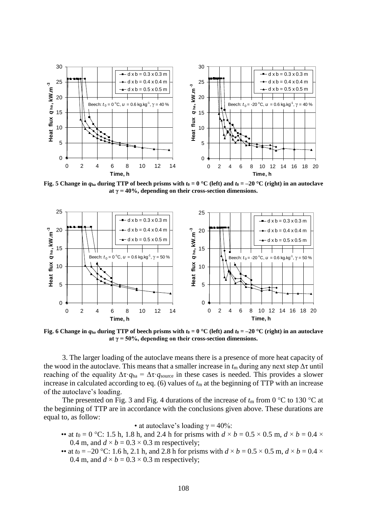

**Fig. 5** Change in  $q_{ha}$  during TTP of beech prisms with  $t_0 = 0$  °C (left) and  $t_0 = -20$  °C (right) in an autoclave **at γ = 40%, depending on their cross-section dimensions.**



**Fig. 6 Change in**  $q_{ha}$  **during TTP of beech prisms with**  $t_0 = 0$  **°C (left) and**  $t_0 = -20$  **°C (right) in an autoclave at γ = 50%, depending on their cross-section dimensions.**

3. The larger loading of the autoclave means there is a presence of more heat capacity of the wood in the autoclave. This means that a smaller increase in  $t_m$  during any next step  $\Delta \tau$  until reaching of the equality  $\Delta \tau \cdot q_{ha} = \Delta \tau \cdot q_{source}$  in these cases is needed. This provides a slower increase in calculated according to eq.  $(6)$  values of  $t<sub>m</sub>$  at the beginning of TTP with an increase of the autoclave's loading.

The presented on Fig. 3 and Fig. 4 durations of the increase of  $t_m$  from 0 °C to 130 °C at the beginning of TTP are in accordance with the conclusions given above. These durations are equal to, as follow:

• at autoclave's loading  $\gamma = 40\%$ :

- •• at  $t_0 = 0$  °C: 1.5 h, 1.8 h, and 2.4 h for prisms with  $d \times b = 0.5 \times 0.5$  m,  $d \times b = 0.4 \times$ 0.4 m, and  $d \times b = 0.3 \times 0.3$  m respectively;
- •• at  $t_0 = -20$  °C: 1.6 h, 2.1 h, and 2.8 h for prisms with  $d \times b = 0.5 \times 0.5$  m,  $d \times b = 0.4 \times$ 0.4 m, and  $d \times b = 0.3 \times 0.3$  m respectively;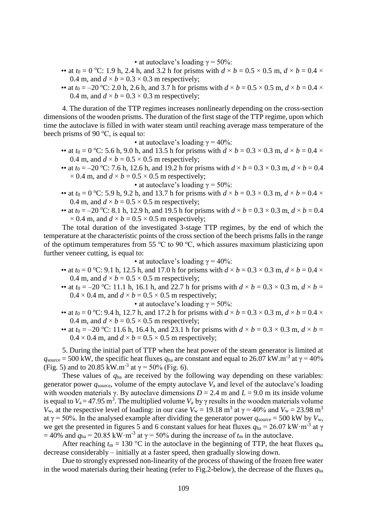• at autoclave's loading  $\gamma = 50\%$ :

- •• at  $t_0 = 0$  °C: 1.9 h, 2.4 h, and 3.2 h for prisms with  $d \times b = 0.5 \times 0.5$  m,  $d \times b = 0.4 \times$ 0.4 m, and  $d \times b = 0.3 \times 0.3$  m respectively;
- •• at  $t_0 = -20$  °C: 2.0 h, 2.6 h, and 3.7 h for prisms with  $d \times b = 0.5 \times 0.5$  m,  $d \times b = 0.4 \times$ 0.4 m, and  $d \times b = 0.3 \times 0.3$  m respectively;

4. The duration of the TTP regimes increases nonlinearly depending on the cross-section dimensions of the wooden prisms. The duration of the first stage of the TTP regime, upon which time the autoclave is filled in with water steam until reaching average mass temperature of the beech prisms of 90 °C, is equal to:

• at autoclave's loading  $\gamma = 40\%$ :

- •• at  $t_0 = 0$  °C: 5.6 h, 9.0 h, and 13.5 h for prisms with  $d \times b = 0.3 \times 0.3$  m,  $d \times b = 0.4 \times$ 0.4 m, and  $d \times b = 0.5 \times 0.5$  m respectively;
- •• at  $t_0 = -20$  °C: 7.6 h, 12.6 h, and 19.2 h for prisms with  $d \times b = 0.3 \times 0.3$  m,  $d \times b = 0.4$  $\times$  0.4 m, and  $d \times b = 0.5 \times 0.5$  m respectively;

• at autoclave's loading  $\gamma = 50\%$ :

- •• at  $t_0 = 0$  °C: 5.9 h, 9.2 h, and 13.7 h for prisms with  $d \times b = 0.3 \times 0.3$  m,  $d \times b = 0.4 \times$ 0.4 m, and  $d \times b = 0.5 \times 0.5$  m respectively;
- •• at  $t_0 = -20$  °C: 8.1 h, 12.9 h, and 19.5 h for prisms with  $d \times b = 0.3 \times 0.3$  m,  $d \times b = 0.4$  $\times$  0.4 m, and  $d \times b = 0.5 \times 0.5$  m respectively;

The total duration of the investigated 3-stage TTP regimes, by the end of which the temperature at the characteristic points of the cross section of the beech prisms falls in the range of the optimum temperatures from 55  $\degree$ C to 90  $\degree$ C, which assures maximum plasticizing upon further veneer cutting, is equal to:

• at autoclave's loading  $\gamma = 40\%$ :

- •• at  $t_0 = 0$  °C: 9.1 h, 12.5 h, and 17.0 h for prisms with  $d \times b = 0.3 \times 0.3$  m,  $d \times b = 0.4 \times$ 0.4 m, and  $d \times b = 0.5 \times 0.5$  m respectively;
- •• at  $t_0 = -20$  °C: 11.1 h, 16.1 h, and 22.7 h for prisms with  $d \times b = 0.3 \times 0.3$  m,  $d \times b =$  $0.4 \times 0.4$  m, and  $d \times b = 0.5 \times 0.5$  m respectively;

• at autoclave's loading  $\gamma = 50\%$ :

- •• at  $t_0 = 0$  °C: 9.4 h, 12.7 h, and 17.2 h for prisms with  $d \times b = 0.3 \times 0.3$  m,  $d \times b = 0.4 \times$ 0.4 m, and  $d \times b = 0.5 \times 0.5$  m respectively;
- •• at  $t_0 = -20$  °C: 11.6 h, 16.4 h, and 23.1 h for prisms with  $d \times b = 0.3 \times 0.3$  m,  $d \times b =$  $0.4 \times 0.4$  m, and  $d \times b = 0.5 \times 0.5$  m respectively;

5. During the initial part of TTP when the heat power of the steam generator is limited at  $q_{\text{source}} = 500 \text{ kW}$ , the specific heat fluxes  $q_{\text{ha}}$  are constant and equal to 26.07 kW.m<sup>-3</sup> at  $\gamma = 40\%$ (Fig. 5) and to 20.85 kW.m<sup>-3</sup> at  $\gamma$  = 50% (Fig. 6).

These values of *q*ha are received by the following way depending on these variables: generator power  $q_{source}$ , volume of the empty autoclave  $V_a$  and level of the autoclave's loading with wooden materials γ. By autoclave dimensions  $D = 2.4$  m and  $L = 9.0$  m its inside volume is equal to  $V_a = 47.95 \text{ m}^3$ . The multiplied volume  $V_a$  by  $\gamma$  results in the wooden materials volume *V*<sub>w</sub>, at the respective level of loading: in our case *V*<sub>w</sub> = 19.18 m<sup>3</sup> at  $\gamma$  = 40% and *V*<sub>w</sub> = 23.98 m<sup>3</sup> at  $\gamma = 50\%$ . In the analysed example after dividing the generator power  $q_{\text{source}} = 500$  kW by  $V_{w}$ , we get the presented in figures 5 and 6 constant values for heat fluxes  $q_{ha} = 26.07 \text{ kW} \cdot \text{m}^{-3}$  at  $\gamma$  $= 40\%$  and  $q_{ha} = 20.85$  kW·m<sup>-3</sup> at  $\gamma = 50\%$  during the increase of  $t_m$  in the autoclave.

After reaching  $t_m = 130$  °C in the autoclave in the beginning of TTP, the heat fluxes  $q_{ha}$ decrease considerably – initially at a faster speed, then gradually slowing down.

Due to strongly expressed non-linearity of the process of thawing of the frozen free water in the wood materials during their heating (refer to Fig.2-below), the decrease of the fluxes *q*ha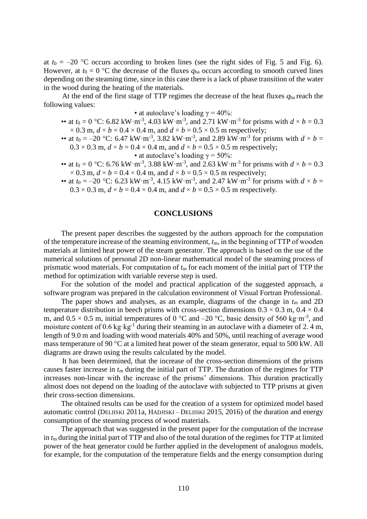at  $t_0 = -20$  °C occurs according to broken lines (see the right sides of Fig. 5 and Fig. 6). However, at  $t_0 = 0$  °C the decrease of the fluxes  $q_{ha}$  occurs according to smooth curved lines depending on the steaming time, since in this case there is a lack of phase transition of the water in the wood during the heating of the materials.

At the end of the first stage of TTP regimes the decrease of the heat fluxes *q*ha reach the following values:

#### • at autoclave's loading  $\gamma = 40\%$ :

- •• at  $t_0 = 0$  °C: 6.82 kW·m<sup>-3</sup>, 4.03 kW·m<sup>-3</sup>, and 2.71 kW·m<sup>-3</sup> for prisms with  $d \times b = 0.3$  $\times$  0.3 m,  $d \times b = 0.4 \times 0.4$  m, and  $d \times b = 0.5 \times 0.5$  m respectively;
- •• at  $t_0 = -20$  °C: 6.47 kW·m<sup>-3</sup>, 3.82 kW·m<sup>-3</sup>, and 2.89 kW·m<sup>-3</sup> for prisms with  $d \times b =$  $0.3 \times 0.3$  m,  $d \times b = 0.4 \times 0.4$  m, and  $d \times b = 0.5 \times 0.5$  m respectively;
	- at autoclave's loading  $\gamma = 50\%$ :
- •• at  $t_0 = 0$  °C: 6.76 kW·m<sup>-3</sup>, 3.88 kW·m<sup>-3</sup>, and 2.63 kW·m<sup>-3</sup> for prisms with  $d \times b = 0.3$  $\times$  0.3 m,  $d \times b = 0.4 \times 0.4$  m, and  $d \times b = 0.5 \times 0.5$  m respectively;
- •• at  $t_0 = -20$  °C: 6.23 kW·m<sup>-3</sup>, 4.15 kW·m<sup>-3</sup>, and 2.47 kW·m<sup>-3</sup> for prisms with  $d \times b =$  $0.3 \times 0.3$  m,  $d \times b = 0.4 \times 0.4$  m, and  $d \times b = 0.5 \times 0.5$  m respectively.

## **CONCLUSIONS**

The present paper describes the suggested by the authors approach for the computation of the temperature increase of the steaming environment, *t*m, in the beginning of ТТР of wooden materials at limited heat power of the steam generator. The approach is based on the use of the numerical solutions of personal 2D non-linear mathematical model of the steaming process of prismatic wood materials. For computation of *t*<sup>m</sup> for each moment of the initial part of TTP the method for optimization with variable reverse step is used.

For the solution of the model and practical application of the suggested approach, a software program was prepared in the calculation environment of Visual Fortran Professional.

The paper shows and analyses, as an example, diagrams of the change in  $t_m$  and 2D temperature distribution in beech prisms with cross-section dimensions  $0.3 \times 0.3$  m,  $0.4 \times 0.4$ m, and  $0.5 \times 0.5$  m, initial temperatures of 0 °C and -20 °C, basic density of 560 kg·m<sup>-3</sup>, and moisture content of 0.6 kg·kg<sup>-1</sup> during their steaming in an autoclave with a diameter of 2.4 m, length of 9.0 m and loading with wood materials 40% and 50%, until reaching of average wood mass temperature of 90 °C at a limited heat power of the steam generator, equal to 500 kW. All diagrams are drawn using the results calculated by the model.

It has been determined, that the increase of the cross-section dimensions of the prisms causes faster increase in *t*<sup>m</sup> during the initial part of TTP. The duration of the regimes for TTP increases non-linear with the increase of the prisms' dimensions. This duration practically almost does not depend on the loading of the autoclave with subjected to TTP prisms at given their cross-section dimensions.

The obtained results can be used for the creation of a system for optimized model based automatic control (DELIISKI 2011a, HADJISKI – DELIISKI 2015, 2016) of the duration and energy consumption of the steaming process of wood materials.

The approach that was suggested in the present paper for the computation of the increase in *t*<sup>m</sup> during the initial part of TTP and also of the total duration of the regimes for TTP at limited power of the heat generator could be further applied in the development of analogous models, for example, for the computation of the temperature fields and the energy consumption during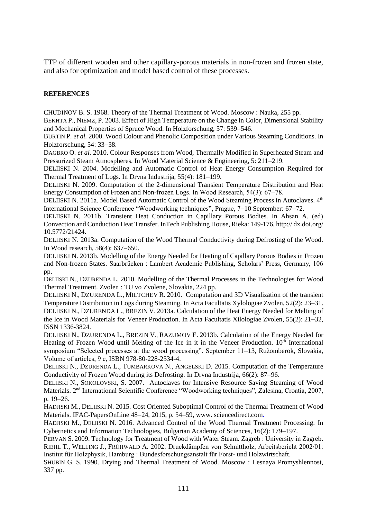TTP of different wooden and other capillary-porous materials in non-frozen and frozen state, and also for optimization and model based control of these processes.

## **REFERENCES**

CHUDINOV B. S. 1968. Theory of the Thermal Treatment of Wood. Moscow : Nauka, 255 pp.

BEKHTA P., NIEMZ, P. 2003. Effect of High Temperature on the Change in Color, Dimensional Stability and Mechanical Properties of Spruce Wood. In Holzforschung, 57: 539–546.

BURTIN P. *et al.* 2000. Wood Colour and Phenolic Composition under Various Steaming Conditions. In Holzforschung,  $54: 33-38$ .

DAGBRO O. *et al.* 2010. Colour Responses from Wood, Thermally Modified in Superheated Steam and Pressurized Steam Atmospheres. In Wood Material Science & Engineering,  $5: 211-219$ .

DELIISKI N. 2004. Modelling and Automatic Control of Heat Energy Consumption Required for Thermal Treatment of Logs. In Drvna Industrija, 55(4): 181–199.

DELIISKI N. 2009. Computation of the 2-dimensional Transient Temperature Distribution and Heat Energy Consumption of Frozen and Non-frozen Logs. In Wood Research, 54(3): 67−78.

DELIISKI N. 2011a. Model Based Automatic Control of the Wood Steaming Process in Autoclaves. 4<sup>th</sup> International Science Conference "Woodworking techniques", Prague, 7–10 September: 67–72.

DELIISKI N. 2011b. Transient Heat Conduction in Capillary Porous Bodies. In Ahsan A. (ed) Convection and Conduction Heat Transfer. InTech Publishing House, Rieka: 149-176, http:// dx.doi.org/ 10.5772/21424.

DELIISKI N. 2013a. Computation of the Wood Thermal Conductivity during Defrosting of the Wood. In Wood research,  $58(4)$ :  $637-650$ .

DELIISKI N. 2013b. Modelling of the Energy Needed for Heating of Capillary Porous Bodies in Frozen and Non-frozen States. Saarbrücken : Lambert Academic Publishing, Scholars' Press, Germany, 106 pp.

DELIISKI N., DZURENDA L. 2010. Modelling of the Thermal Processes in the Technologies for Wood Thermal Treatment. Zvolen : TU vo Zvolene, Slovakia, 224 pp.

DELIISKI N., DZURENDA L., MILTCHEV R. 2010. Computation and 3D Visualization of the transient Temperature Distribution in Logs during Steaming. In Acta Facultatis Xylologiae Zvolen, 52(2): 23–31. DELIISKI N., DZURENDA L., BREZIN V. 2013a. Calculation of the Heat Energy Needed for Melting of the Ice in Wood Materials for Veneer Production. In Acta Facultatis Xilologiae Zvolen, 55(2): 21–32, ISSN 1336-3824.

DELIISKI N., DZURENDA L., BREZIN V., RAZUMOV E. 2013b. Calculation of the Energy Needed for Heating of Frozen Wood until Melting of the Ice in it in the Veneer Production.  $10<sup>th</sup>$  International symposium "Selected processes at the wood processing". September 11–13, Ružomberok, Slovakia, Volume of articles, 9 с, ISBN 978-80-228-2534-4.

DELIISKI N., DZURENDA L., TUMBARKOVA N., ANGELSKI D. 2015. Computation of the Temperature Conductivity of Frozen Wood during its Defrosting. In Drvna Industrija, 66(2): 87–96.

DELIISKI N., SOKOLOVSKI, S. 2007. Autoclaves for Intensive Resource Saving Steaming of Wood Materials. 2nd International Scientific Conference "Woodworking techniques", Zalesina, Croatia, 2007, p. 19-26.

HADJISKI M., DELIISKI N. 2015. Cost Oriented Suboptimal Control of the Thermal Treatment of Wood Materials. IFAC-PapersOnLine 48-24, 2015, p. 54-59, www. sciencedirect.com.

HADJISKI M., DELIISKI N. 2016. Advanced Control of the Wood Thermal Treatment Processing. In Cybernetics and Information Technologies, Bulgarian Academy of Sciences, 16(2): 179–197.

PERVAN S. 2009. Technology for Treatment of Wood with Water Steam. Zagreb : University in Zagreb. RIEHL T., WELLING J., FRÜHWALD A. 2002. Druckdämpfen von Schnittholz, Arbeitsbericht 2002/01: Institut für Holzphysik, Hamburg : Bundesforschungsanstalt für Forst- und Holzwirtschaft.

SHUBIN G. S. 1990. Drying and Thermal Treatment of Wood. Moscow : Lesnaya Promyshlennost, 337 pp.